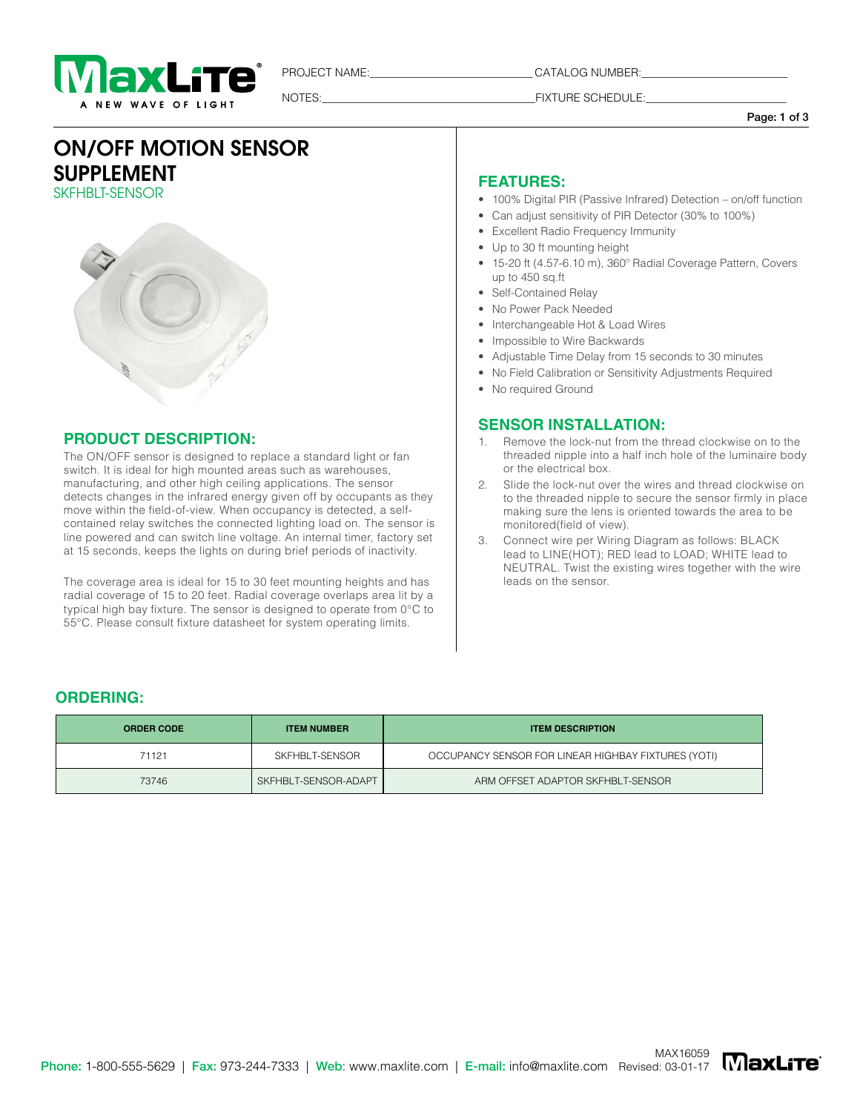

PROJECT NAME:\_\_\_\_\_\_\_\_\_\_\_\_\_\_\_\_\_\_\_\_\_\_\_\_\_\_\_\_\_ CATALOG NUMBER:\_\_\_\_\_\_\_\_\_\_\_\_\_\_\_\_\_\_\_\_\_\_\_\_\_\_

NOTES: THE RESOLUTION OF THE RESOLUTION OF THE RESOLUTION OF THE RESOLUTION OF THE RESOLUTION OF THE RESOLUTION OF THE RESOLUTION OF THE RESOLUTION OF THE RESOLUTION OF THE RESOLUTION OF THE RESOLUTION OF THE RESOLUTION OF

Page: 1 of 3

## ON/OFF MOTION SENSOR SUPPLEMENT SKFHBIT-SFNSOR

### **PRODUCT DESCRIPTION:**

The ON/OFF sensor is designed to replace a standard light or fan switch. It is ideal for high mounted areas such as warehouses, manufacturing, and other high ceiling applications. The sensor detects changes in the infrared energy given off by occupants as they move within the field-of-view. When occupancy is detected, a selfcontained relay switches the connected lighting load on. The sensor is line powered and can switch line voltage. An internal timer, factory set at 15 seconds, keeps the lights on during brief periods of inactivity.

The coverage area is ideal for 15 to 30 feet mounting heights and has radial coverage of 15 to 20 feet. Radial coverage overlaps area lit by a typical high bay fixture. The sensor is designed to operate from 0°C to 55°C. Please consult fixture datasheet for system operating limits.

### **FEATURES:**

- 100% Digital PIR (Passive Infrared) Detection on/off function
- Can adjust sensitivity of PIR Detector (30% to 100%)
- Excellent Radio Frequency Immunity
- Up to 30 ft mounting height
- 15-20 ft (4.57-6.10 m), 360º Radial Coverage Pattern, Covers up to 450 sq.ft
- Self-Contained Relay
- No Power Pack Needed
- Interchangeable Hot & Load Wires
- Impossible to Wire Backwards
- Adjustable Time Delay from 15 seconds to 30 minutes
- No Field Calibration or Sensitivity Adjustments Required
- No required Ground

### **SENSOR INSTALLATION:**

- Remove the lock-nut from the thread clockwise on to the threaded nipple into a half inch hole of the luminaire body or the electrical box.
- 2. Slide the lock-nut over the wires and thread clockwise on to the threaded nipple to secure the sensor firmly in place making sure the lens is oriented towards the area to be monitored(field of view).
- 3. Connect wire per Wiring Diagram as follows: BLACK lead to LINE(HOT); RED lead to LOAD; WHITE lead to NEUTRAL. Twist the existing wires together with the wire leads on the sensor.

## **ORDERING:**

| <b>ORDER CODE</b> | <b>ITEM NUMBER</b>   | <b>ITEM DESCRIPTION</b>                             |
|-------------------|----------------------|-----------------------------------------------------|
| 71121             | SKFHBLT-SENSOR       | OCCUPANCY SENSOR FOR LINEAR HIGHBAY FIXTURES (YOTI) |
| 73746             | SKFHBLT-SENSOR-ADAPT | ARM OFFSET ADAPTOR SKFHBLT-SENSOR                   |

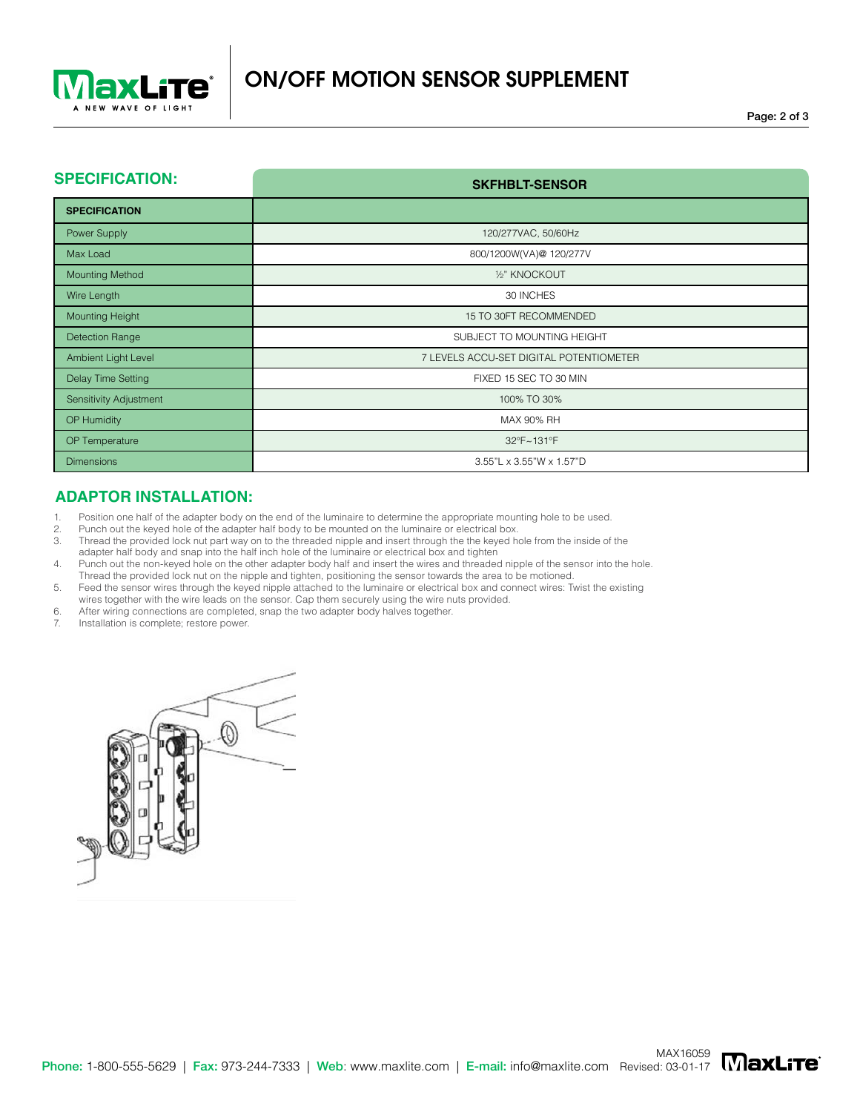

**SKFHBLT-SENSOR**

### **SPECIFICATION:**

|                               | <u>UN IIDEI UENUVII</u>                 |
|-------------------------------|-----------------------------------------|
| <b>SPECIFICATION</b>          |                                         |
| Power Supply                  | 120/277VAC, 50/60Hz                     |
| Max Load                      | 800/1200W(VA)@ 120/277V                 |
| <b>Mounting Method</b>        | 1/2" KNOCKOUT                           |
| Wire Length                   | 30 INCHES                               |
| Mounting Height               | 15 TO 30FT RECOMMENDED                  |
| <b>Detection Range</b>        | SUBJECT TO MOUNTING HEIGHT              |
| Ambient Light Level           | 7 LEVELS ACCU-SET DIGITAL POTENTIOMETER |
| Delay Time Setting            | FIXED 15 SEC TO 30 MIN                  |
| <b>Sensitivity Adjustment</b> | 100% TO 30%                             |
| OP Humidity                   | MAX 90% RH                              |
| OP Temperature                | 32°F~131°F                              |
| <b>Dimensions</b>             | 3.55"L x 3.55"W x 1.57"D                |

### **ADAPTOR INSTALLATION:**

1. Position one half of the adapter body on the end of the luminaire to determine the appropriate mounting hole to be used.

- 2. Punch out the keyed hole of the adapter half body to be mounted on the luminaire or electrical box.
- Thread the provided lock nut part way on to the threaded nipple and insert through the the keyed hole from the inside of the adapter half body and snap into the half inch hole of the luminaire or electrical box and tighten
- 4. Punch out the non-keyed hole on the other adapter body half and insert the wires and threaded nipple of the sensor into the hole. Thread the provided lock nut on the nipple and tighten, positioning the sensor towards the area to be motioned.
- 5. Feed the sensor wires through the keyed nipple attached to the luminaire or electrical box and connect wires: Twist the existing
- wires together with the wire leads on the sensor. Cap them securely using the wire nuts provided.
- 6. After wiring connections are completed, snap the two adapter body halves together.<br>7. Installation is complete: restore power
- Installation is complete; restore power.